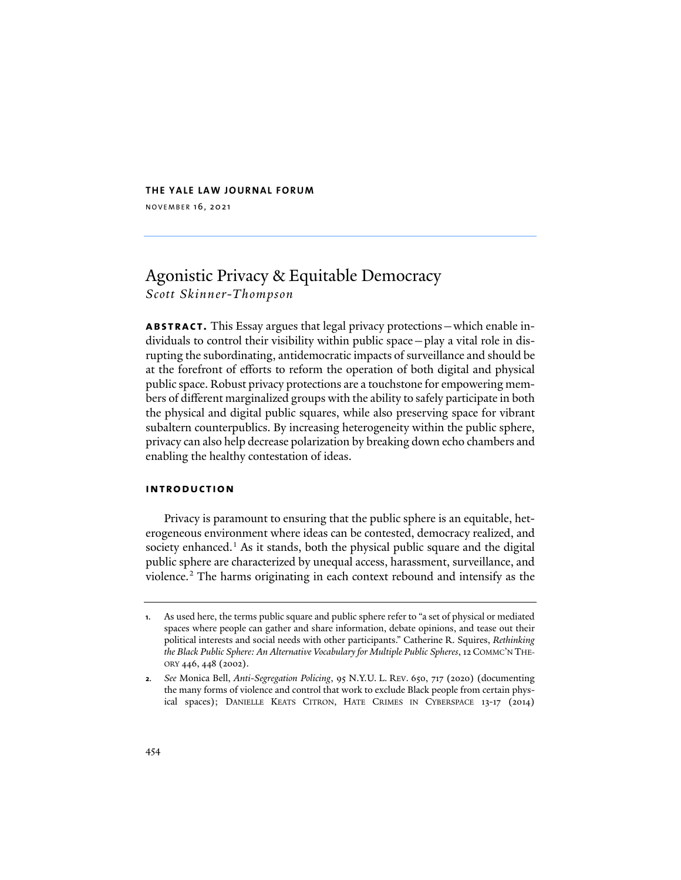## **THE YALE LAW JOURNAL FORUM**

NOVEMBER 16, 2021

# Agonistic Privacy & Equitable Democracy *Scott Skinner-Thompson*

**abstract.** This Essay argues that legal privacy protections—which enable individuals to control their visibility within public space—play a vital role in disrupting the subordinating, antidemocratic impacts of surveillance and should be at the forefront of efforts to reform the operation of both digital and physical public space. Robust privacy protections are a touchstone for empowering members of different marginalized groups with the ability to safely participate in both the physical and digital public squares, while also preserving space for vibrant subaltern counterpublics. By increasing heterogeneity within the public sphere, privacy can also help decrease polarization by breaking down echo chambers and enabling the healthy contestation of ideas.

## **introduction**

<span id="page-0-2"></span>Privacy is paramount to ensuring that the public sphere is an equitable, heterogeneous environment where ideas can be contested, democracy realized, and society enhanced.<sup>[1](#page-0-0)</sup> As it stands, both the physical public square and the digital public sphere are characterized by unequal access, harassment, surveillance, and violence.[2](#page-0-1) The harms originating in each context rebound and intensify as the

<span id="page-0-3"></span><span id="page-0-0"></span>**<sup>1</sup>**. As used here, the terms public square and public sphere refer to "a set of physical or mediated spaces where people can gather and share information, debate opinions, and tease out their political interests and social needs with other participants." Catherine R. Squires, *Rethinking the Black Public Sphere: An Alternative Vocabulary for Multiple Public Spheres*, 12 COMMC'N THE-ORY 446, 448 (2002).

<span id="page-0-1"></span>**<sup>2</sup>***. See* Monica Bell, *Anti-Segregation Policing*, 95 N.Y.U. L. REV. 650, 717 (2020) (documenting the many forms of violence and control that work to exclude Black people from certain physical spaces); DANIELLE KEATS CITRON, HATE CRIMES IN CYBERSPACE 13-17 (2014)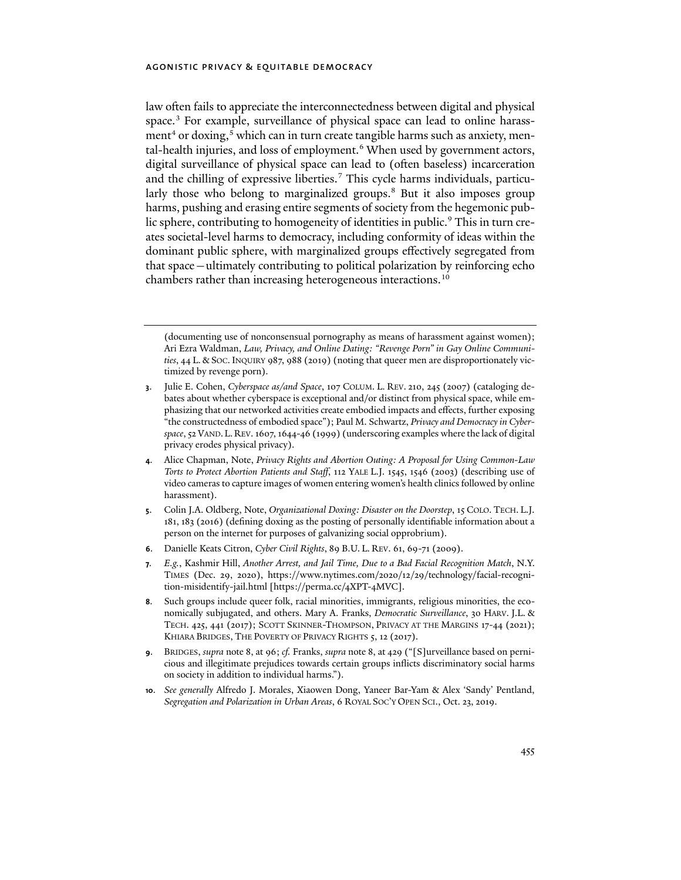<span id="page-1-10"></span><span id="page-1-9"></span><span id="page-1-0"></span>law often fails to appreciate the interconnectedness between digital and physical space.<sup>[3](#page-1-1)</sup> For example, surveillance of physical space can lead to online harass-ment<sup>4</sup> or doxing,<sup>[5](#page-1-3)</sup> which can in turn create tangible harms such as anxiety, men-tal-health injuries, and loss of employment.<sup>[6](#page-1-4)</sup> When used by government actors, digital surveillance of physical space can lead to (often baseless) incarceration and the chilling of expressive liberties.<sup>[7](#page-1-5)</sup> This cycle harms individuals, particu-larly those who belong to marginalized groups.<sup>[8](#page-1-6)</sup> But it also imposes group harms, pushing and erasing entire segments of society from the hegemonic pub-lic sphere, contributing to homogeneity of identities in public.<sup>[9](#page-1-7)</sup> This in turn creates societal-level harms to democracy, including conformity of ideas within the dominant public sphere, with marginalized groups effectively segregated from that space—ultimately contributing to political polarization by reinforcing echo chambers rather than increasing heterogeneous interactions.<sup>[10](#page-1-8)</sup>

(documenting use of nonconsensual pornography as means of harassment against women); Ari Ezra Waldman, *Law, Privacy, and Online Dating: "Revenge Porn" in Gay Online Communities*, 44 L. & SOC. INQUIRY 987, 988 (2019) (noting that queer men are disproportionately victimized by revenge porn).

- <span id="page-1-1"></span>**3**. Julie E. Cohen, *Cyberspace as/and Space*, 107 COLUM. L. REV. 210, 245 (2007) (cataloging debates about whether cyberspace is exceptional and/or distinct from physical space, while emphasizing that our networked activities create embodied impacts and effects, further exposing "the constructedness of embodied space"); Paul M. Schwartz, *Privacy and Democracy in Cyberspace*, 52 VAND.L.REV. 1607, 1644-46 (1999) (underscoring examples where the lack of digital privacy erodes physical privacy).
- <span id="page-1-2"></span>**4**. Alice Chapman, Note, *Privacy Rights and Abortion Outing: A Proposal for Using Common-Law Torts to Protect Abortion Patients and Staff*, 112 YALE L.J. 1545, 1546 (2003) (describing use of video cameras to capture images of women entering women's health clinics followed by online harassment).
- <span id="page-1-3"></span>**5**. Colin J.A. Oldberg, Note, *Organizational Doxing: Disaster on the Doorstep*, 15 COLO. TECH. L.J. 181, 183 (2016) (defining doxing as the posting of personally identifiable information about a person on the internet for purposes of galvanizing social opprobrium).
- <span id="page-1-4"></span>**6**. Danielle Keats Citron, *Cyber Civil Rights*, 89 B.U. L. REV. 61, 69-71 (2009).
- <span id="page-1-5"></span>**7***. E.g.*, Kashmir Hill, *Another Arrest, and Jail Time, Due to a Bad Facial Recognition Match*, N.Y. TIMES (Dec. 29, 2020), https://www.nytimes.com/2020/12/29/technology/facial-recognition-misidentify-jail.html [https://perma.cc/4XPT-4MVC].
- <span id="page-1-6"></span>**8**. Such groups include queer folk, racial minorities, immigrants, religious minorities, the economically subjugated, and others. Mary A. Franks, *Democratic Surveillance*, 30 HARV. J.L. & TECH. 425, 441 (2017); SCOTT SKINNER-THOMPSON, PRIVACY AT THE MARGINS 17-44 (2021); KHIARA BRIDGES, THE POVERTY OF PRIVACY RIGHTS 5, 12 (2017).
- <span id="page-1-7"></span>**9**. BRIDGES, *supra* not[e 8,](#page-1-0) at 96; *cf.* Franks, *supra* not[e 8,](#page-1-0) at 429 ("[S]urveillance based on pernicious and illegitimate prejudices towards certain groups inflicts discriminatory social harms on society in addition to individual harms.").
- <span id="page-1-8"></span>**10**. *See generally* Alfredo J. Morales, Xiaowen Dong, Yaneer Bar-Yam & Alex 'Sandy' Pentland, *Segregation and Polarization in Urban Areas*, 6 ROYAL SOC'Y OPEN SCI., Oct. 23, 2019.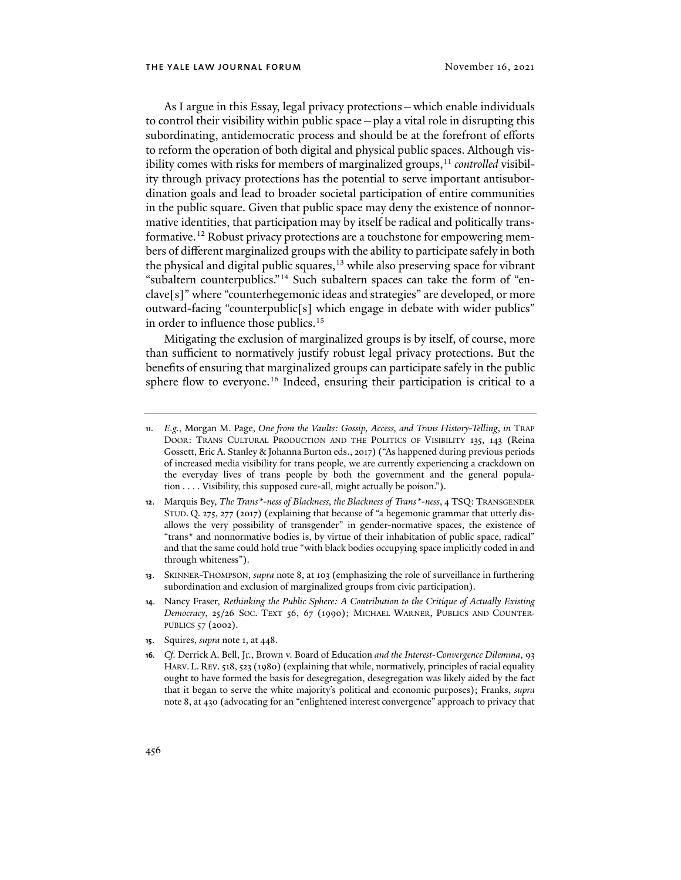As I argue in this Essay, legal privacy protections—which enable individuals to control their visibility within public space—play a vital role in disrupting this subordinating, antidemocratic process and should be at the forefront of efforts to reform the operation of both digital and physical public spaces. Although vis-ibility comes with risks for members of marginalized groups,<sup>[11](#page-2-0)</sup> *controlled* visibility through privacy protections has the potential to serve important antisubordination goals and lead to broader societal participation of entire communities in the public square. Given that public space may deny the existence of nonnormative identities, that participation may by itself be radical and politically transformative.[12](#page-2-1) Robust privacy protections are a touchstone for empowering members of different marginalized groups with the ability to participate safely in both the physical and digital public squares, $13$  while also preserving space for vibrant "subaltern counterpublics."[14](#page-2-3) Such subaltern spaces can take the form of "enclave[s]" where "counterhegemonic ideas and strategies" are developed, or more outward-facing "counterpublic[s] which engage in debate with wider publics" in order to influence those publics. [15](#page-2-4)

<span id="page-2-6"></span>Mitigating the exclusion of marginalized groups is by itself, of course, more than sufficient to normatively justify robust legal privacy protections. But the benefits of ensuring that marginalized groups can participate safely in the public sphere flow to everyone.<sup>[16](#page-2-5)</sup> Indeed, ensuring their participation is critical to a

- <span id="page-2-2"></span>**13**. SKINNER-THOMPSON, *supra* note [8,](#page-1-0) at 103 (emphasizing the role of surveillance in furthering subordination and exclusion of marginalized groups from civic participation).
- <span id="page-2-3"></span>**14**. Nancy Fraser, *Rethinking the Public Sphere: A Contribution to the Critique of Actually Existing Democracy*, 25/26 SOC. TEXT 56, 67 (1990); MICHAEL WARNER, PUBLICS AND COUNTER-PUBLICS 57 (2002).
- <span id="page-2-4"></span>**15**. Squires, *supra* not[e 1,](#page-0-2) at 448.
- <span id="page-2-5"></span>**16***. Cf.* Derrick A. Bell, Jr., Brown v. Board of Education *and the Interest-Convergence Dilemma*, 93 HARV. L. REV. 518, 523 (1980) (explaining that while, normatively, principles of racial equality ought to have formed the basis for desegregation, desegregation was likely aided by the fact that it began to serve the white majority's political and economic purposes); Franks, *supra* not[e 8,](#page-1-0) at 430 (advocating for an "enlightened interest convergence" approach to privacy that

<span id="page-2-0"></span>**<sup>11</sup>***. E.g.*, Morgan M. Page, *One from the Vaults: Gossip, Access, and Trans History-Telling*, *in* TRAP DOOR: TRANS CULTURAL PRODUCTION AND THE POLITICS OF VISIBILITY 135, 143 (Reina Gossett, Eric A. Stanley & Johanna Burton eds., 2017) ("As happened during previous periods of increased media visibility for trans people, we are currently experiencing a crackdown on the everyday lives of trans people by both the government and the general population . . . . Visibility, this supposed cure-all, might actually be poison.").

<span id="page-2-1"></span>**<sup>12</sup>**. Marquis Bey, *The Trans\*-ness of Blackness, the Blackness of Trans\*-ness*, 4 TSQ: TRANSGENDER STUD. Q. 275, 277 (2017) (explaining that because of "a hegemonic grammar that utterly disallows the very possibility of transgender" in gender-normative spaces, the existence of "trans\* and nonnormative bodies is, by virtue of their inhabitation of public space, radical" and that the same could hold true "with black bodies occupying space implicitly coded in and through whiteness").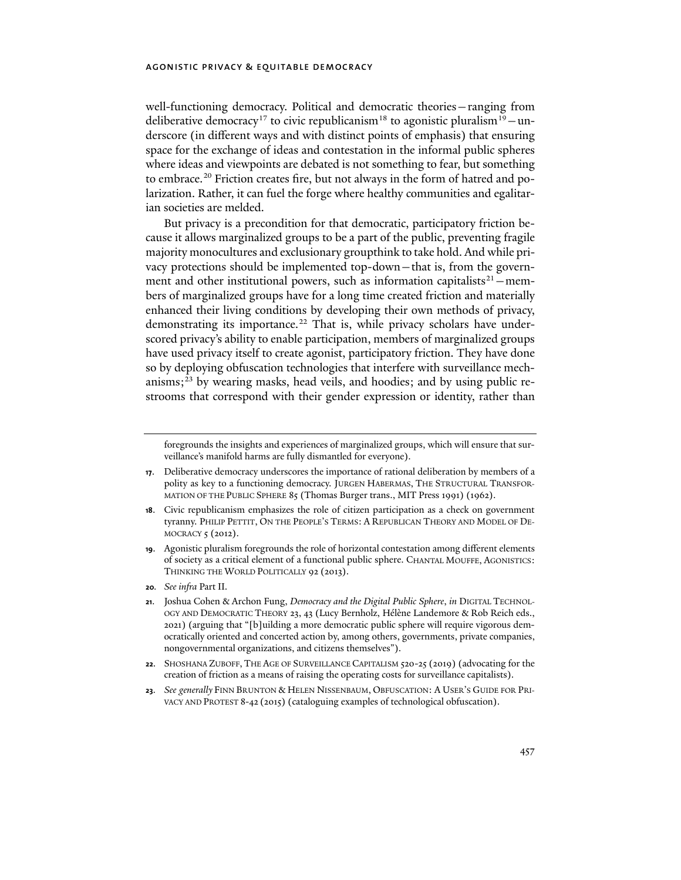<span id="page-3-10"></span><span id="page-3-9"></span><span id="page-3-8"></span>well-functioning democracy. Political and democratic theories—ranging from deliberative democracy<sup>[17](#page-3-0)</sup> to civic republicanism<sup>[18](#page-3-1)</sup> to agonistic pluralism<sup>19</sup> – underscore (in different ways and with distinct points of emphasis) that ensuring space for the exchange of ideas and contestation in the informal public spheres where ideas and viewpoints are debated is not something to fear, but something to embrace.<sup>[20](#page-3-3)</sup> Friction creates fire, but not always in the form of hatred and polarization. Rather, it can fuel the forge where healthy communities and egalitarian societies are melded.

<span id="page-3-7"></span>But privacy is a precondition for that democratic, participatory friction because it allows marginalized groups to be a part of the public, preventing fragile majority monocultures and exclusionary groupthink to take hold. And while privacy protections should be implemented top-down—that is, from the government and other institutional powers, such as information capitalists<sup>21</sup> – members of marginalized groups have for a long time created friction and materially enhanced their living conditions by developing their own methods of privacy, demonstrating its importance.<sup>[22](#page-3-5)</sup> That is, while privacy scholars have underscored privacy's ability to enable participation, members of marginalized groups have used privacy itself to create agonist, participatory friction. They have done so by deploying obfuscation technologies that interfere with surveillance mechanisms;[23](#page-3-6) by wearing masks, head veils, and hoodies; and by using public restrooms that correspond with their gender expression or identity, rather than

- <span id="page-3-1"></span>**18**. Civic republicanism emphasizes the role of citizen participation as a check on government tyranny. PHILIP PETTIT, ON THE PEOPLE'S TERMS: A REPUBLICAN THEORY AND MODEL OF DE-MOCRACY 5 (2012).
- <span id="page-3-2"></span>**19**. Agonistic pluralism foregrounds the role of horizontal contestation among different elements of society as a critical element of a functional public sphere. CHANTAL MOUFFE, AGONISTICS: THINKING THE WORLD POLITICALLY 92 (2013).
- <span id="page-3-3"></span>**20***. See infra* Part II.
- <span id="page-3-4"></span>**21**. Joshua Cohen & Archon Fung, *Democracy and the Digital Public Sphere*, *in* DIGITAL TECHNOL-OGY AND DEMOCRATIC THEORY 23, 43 (Lucy Bernholz, Hélène Landemore & Rob Reich eds., 2021) (arguing that "[b]uilding a more democratic public sphere will require vigorous democratically oriented and concerted action by, among others, governments, private companies, nongovernmental organizations, and citizens themselves").
- <span id="page-3-5"></span>**22**. SHOSHANA ZUBOFF, THE AGE OF SURVEILLANCE CAPITALISM 520-25 (2019) (advocating for the creation of friction as a means of raising the operating costs for surveillance capitalists).
- <span id="page-3-6"></span>**23**. *See generally* FINN BRUNTON & HELEN NISSENBAUM, OBFUSCATION: A USER'S GUIDE FOR PRI-VACY AND PROTEST 8-42 (2015) (cataloguing examples of technological obfuscation).

foregrounds the insights and experiences of marginalized groups, which will ensure that surveillance's manifold harms are fully dismantled for everyone).

<span id="page-3-0"></span>**<sup>17</sup>**. Deliberative democracy underscores the importance of rational deliberation by members of a polity as key to a functioning democracy. JURGEN HABERMAS, THE STRUCTURAL TRANSFOR-MATION OF THE PUBLIC SPHERE 85 (Thomas Burger trans., MIT Press 1991) (1962).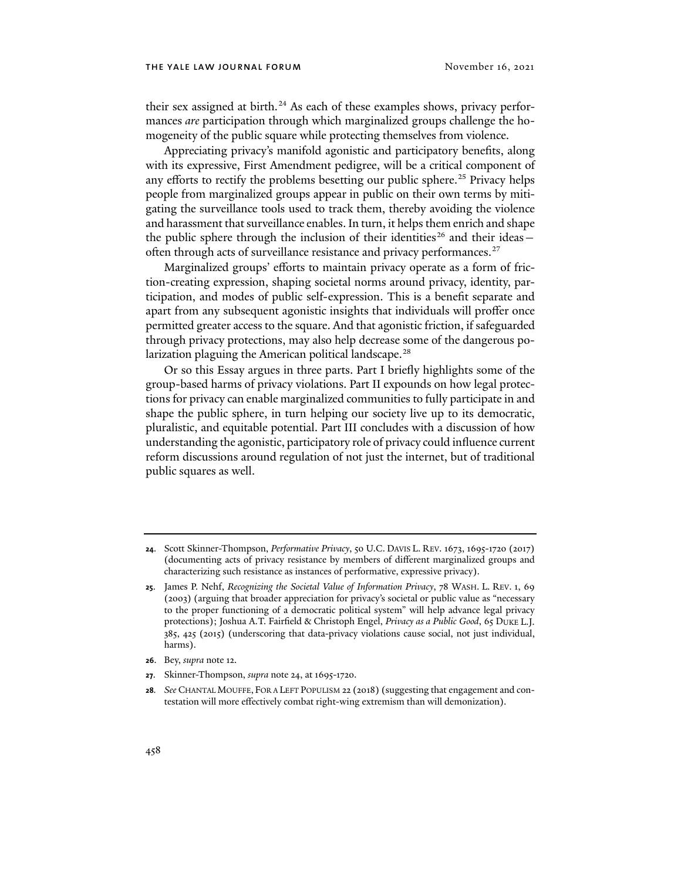<span id="page-4-0"></span>their sex assigned at birth.<sup>[24](#page-4-1)</sup> As each of these examples shows, privacy performances *are* participation through which marginalized groups challenge the homogeneity of the public square while protecting themselves from violence.

Appreciating privacy's manifold agonistic and participatory benefits, along with its expressive, First Amendment pedigree, will be a critical component of any efforts to rectify the problems besetting our public sphere.<sup>[25](#page-4-2)</sup> Privacy helps people from marginalized groups appear in public on their own terms by mitigating the surveillance tools used to track them, thereby avoiding the violence and harassment that surveillance enables. In turn, it helps them enrich and shape the public sphere through the inclusion of their identities<sup>[26](#page-4-3)</sup> and their ideas -often through acts of surveillance resistance and privacy performances.<sup>[27](#page-4-4)</sup>

Marginalized groups' efforts to maintain privacy operate as a form of friction-creating expression, shaping societal norms around privacy, identity, participation, and modes of public self-expression. This is a benefit separate and apart from any subsequent agonistic insights that individuals will proffer once permitted greater access to the square. And that agonistic friction, if safeguarded through privacy protections, may also help decrease some of the dangerous po-larization plaguing the American political landscape.<sup>[28](#page-4-5)</sup>

<span id="page-4-6"></span>Or so this Essay argues in three parts. Part I briefly highlights some of the group-based harms of privacy violations. Part II expounds on how legal protections for privacy can enable marginalized communities to fully participate in and shape the public sphere, in turn helping our society live up to its democratic, pluralistic, and equitable potential. Part III concludes with a discussion of how understanding the agonistic, participatory role of privacy could influence current reform discussions around regulation of not just the internet, but of traditional public squares as well.

<span id="page-4-1"></span>**<sup>24</sup>**. Scott Skinner-Thompson, *Performative Privacy*, 50 U.C. DAVIS L. REV. 1673, 1695-1720 (2017) (documenting acts of privacy resistance by members of different marginalized groups and characterizing such resistance as instances of performative, expressive privacy).

<span id="page-4-2"></span>**<sup>25</sup>**. James P. Nehf, *Recognizing the Societal Value of Information Privacy*, 78 WASH. L. REV. 1, 69 (2003) (arguing that broader appreciation for privacy's societal or public value as "necessary to the proper functioning of a democratic political system" will help advance legal privacy protections); Joshua A.T. Fairfield & Christoph Engel, *Privacy as a Public Good*, 65 DUKE L.J. 385, 425 (2015) (underscoring that data-privacy violations cause social, not just individual, harms).

<span id="page-4-3"></span>**<sup>26</sup>**. Bey, *supra* not[e 12.](#page-2-6)

<span id="page-4-4"></span>**<sup>27</sup>**. Skinner-Thompson, *supra* not[e 24,](#page-4-0) at 1695-1720.

<span id="page-4-5"></span>**<sup>28</sup>***. See* CHANTAL MOUFFE, FOR A LEFT POPULISM 22 (2018) (suggesting that engagement and contestation will more effectively combat right-wing extremism than will demonization).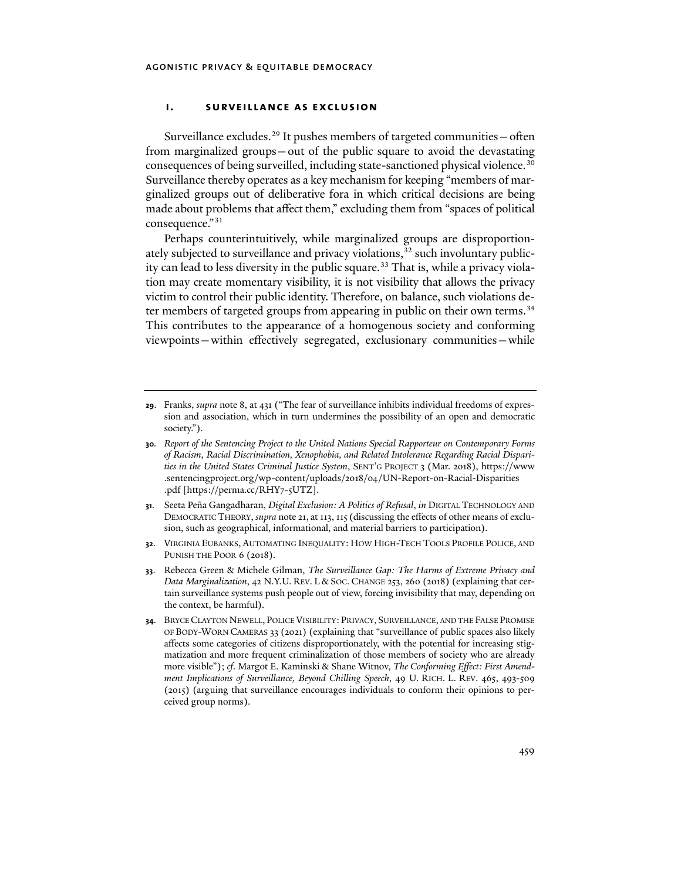#### **i. surveillance as exclusion**

Surveillance excludes.<sup>[29](#page-5-0)</sup> It pushes members of targeted communities  $-$  often from marginalized groups—out of the public square to avoid the devastating consequences of being surveilled, including state-sanctioned physical violence.<sup>[30](#page-5-1)</sup> Surveillance thereby operates as a key mechanism for keeping "members of marginalized groups out of deliberative fora in which critical decisions are being made about problems that affect them," excluding them from "spaces of political consequence."[31](#page-5-2)

<span id="page-5-7"></span><span id="page-5-6"></span>Perhaps counterintuitively, while marginalized groups are disproportionately subjected to surveillance and privacy violations,  $32$  such involuntary public-ity can lead to less diversity in the public square.<sup>[33](#page-5-4)</sup> That is, while a privacy violation may create momentary visibility, it is not visibility that allows the privacy victim to control their public identity. Therefore, on balance, such violations de-ter members of targeted groups from appearing in public on their own terms.<sup>[34](#page-5-5)</sup> This contributes to the appearance of a homogenous society and conforming viewpoints—within effectively segregated, exclusionary communities—while

- <span id="page-5-2"></span>**31**. Seeta Peña Gangadharan, *Digital Exclusion: A Politics of Refusal*, *in* DIGITAL TECHNOLOGY AND DEMOCRATIC THEORY, *supra* not[e 21,](#page-3-7) at 113, 115 (discussing the effects of other means of exclusion, such as geographical, informational, and material barriers to participation).
- <span id="page-5-3"></span>**32**. VIRGINIA EUBANKS, AUTOMATING INEQUALITY: HOW HIGH-TECH TOOLS PROFILE POLICE, AND PUNISH THE POOR 6 (2018).
- <span id="page-5-4"></span>**33**. Rebecca Green & Michele Gilman, *The Surveillance Gap: The Harms of Extreme Privacy and Data Marginalization*, 42 N.Y.U. REV. L & SOC. CHANGE 253, 260 (2018) (explaining that certain surveillance systems push people out of view, forcing invisibility that may, depending on the context, be harmful).
- <span id="page-5-5"></span>**34**. BRYCE CLAYTON NEWELL, POLICE VISIBILITY: PRIVACY, SURVEILLANCE, AND THE FALSE PROMISE OF BODY-WORN CAMERAS 33 (2021) (explaining that "surveillance of public spaces also likely affects some categories of citizens disproportionately, with the potential for increasing stigmatization and more frequent criminalization of those members of society who are already more visible"); *cf*. Margot E. Kaminski & Shane Witnov, *The Conforming Effect: First Amendment Implications of Surveillance, Beyond Chilling Speech*, 49 U. RICH. L. REV. 465, 493-509 (2015) (arguing that surveillance encourages individuals to conform their opinions to perceived group norms).

<span id="page-5-0"></span>**<sup>29</sup>**. Franks, *supra* not[e 8,](#page-1-0) at 431 ("The fear of surveillance inhibits individual freedoms of expression and association, which in turn undermines the possibility of an open and democratic society.").

<span id="page-5-1"></span>**<sup>30</sup>***. Report of the Sentencing Project to the United Nations Special Rapporteur on Contemporary Forms of Racism, Racial Discrimination, Xenophobia, and Related Intolerance Regarding Racial Disparities in the United States Criminal Justice System*, SENT'G PROJECT 3 (Mar. 2018), https://www .sentencingproject.org/wp-content/uploads/2018/04/UN-Report-on-Racial-Disparities .pdf [https://perma.cc/RHY7-5UTZ].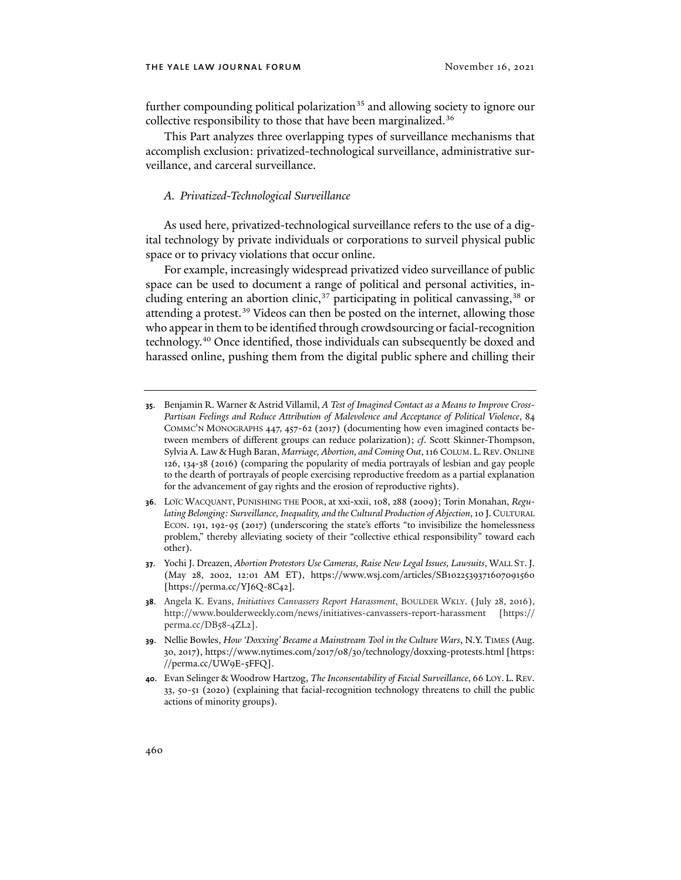further compounding political polarization<sup>[35](#page-6-0)</sup> and allowing society to ignore our collective responsibility to those that have been marginalized.<sup>[36](#page-6-1)</sup>

This Part analyzes three overlapping types of surveillance mechanisms that accomplish exclusion: privatized-technological surveillance, administrative surveillance, and carceral surveillance.

#### <span id="page-6-6"></span>*A. Privatized-Technological Surveillance*

As used here, privatized-technological surveillance refers to the use of a digital technology by private individuals or corporations to surveil physical public space or to privacy violations that occur online.

For example, increasingly widespread privatized video surveillance of public space can be used to document a range of political and personal activities, in-cluding entering an abortion clinic,<sup>[37](#page-6-2)</sup> participating in political canvassing,<sup>[38](#page-6-3)</sup> or attending a protest.<sup>[39](#page-6-4)</sup> Videos can then be posted on the internet, allowing those who appear in them to be identified through crowdsourcing or facial-recognition technology.[40](#page-6-5) Once identified, those individuals can subsequently be doxed and harassed online, pushing them from the digital public sphere and chilling their

- <span id="page-6-0"></span>**35**. Benjamin R. Warner & Astrid Villamil, *A Test of Imagined Contact as a Means to Improve Cross-Partisan Feelings and Reduce Attribution of Malevolence and Acceptance of Political Violence*, 84 COMMC'N MONOGRAPHS 447, 457-62 (2017) (documenting how even imagined contacts between members of different groups can reduce polarization); *cf*. Scott Skinner-Thompson, Sylvia A. Law & Hugh Baran, *Marriage, Abortion, and Coming Out*, 116 COLUM.L. REV.ONLINE 126, 134-38 (2016) (comparing the popularity of media portrayals of lesbian and gay people to the dearth of portrayals of people exercising reproductive freedom as a partial explanation for the advancement of gay rights and the erosion of reproductive rights).
- <span id="page-6-1"></span>**36**. LOÏC WACQUANT, PUNISHING THE POOR, at xxi-xxii, 108, 288 (2009); Torin Monahan, *Regulating Belonging: Surveillance, Inequality, and the Cultural Production of Abjection*, 10 J. CULTURAL ECON. 191, 192-95 (2017) (underscoring the state's efforts "to invisibilize the homelessness problem," thereby alleviating society of their "collective ethical responsibility" toward each other).
- <span id="page-6-2"></span>**37**. Yochi J. Dreazen, *Abortion Protestors Use Cameras, Raise New Legal Issues, Lawsuits*, WALL ST.J. (May 28, 2002, 12:01 AM ET), https://www.wsj.com/articles/SB1022539371607091560 [https://perma.cc/YJ6Q-8C42].
- <span id="page-6-3"></span>**38**. Angela K. Evans, *Initiatives Canvassers Report Harassment*, BOULDER WKLY. (July 28, 2016), http://www.boulderweekly.com/news/initiatives-canvassers-report-harassment [https:// perma.cc/DB58-4ZL2].
- <span id="page-6-4"></span>**39**. Nellie Bowles, *How 'Doxxing' Became a Mainstream Tool in the Culture Wars*, N.Y. TIMES (Aug. 30, 2017), https://www.nytimes.com/2017/08/30/technology/doxxing-protests.html [https: //perma.cc/UW9E-5FFQ].
- <span id="page-6-5"></span>**40**. Evan Selinger & Woodrow Hartzog, *The Inconsentability of Facial Surveillance*, 66 LOY. L. REV. 33, 50-51 (2020) (explaining that facial-recognition technology threatens to chill the public actions of minority groups).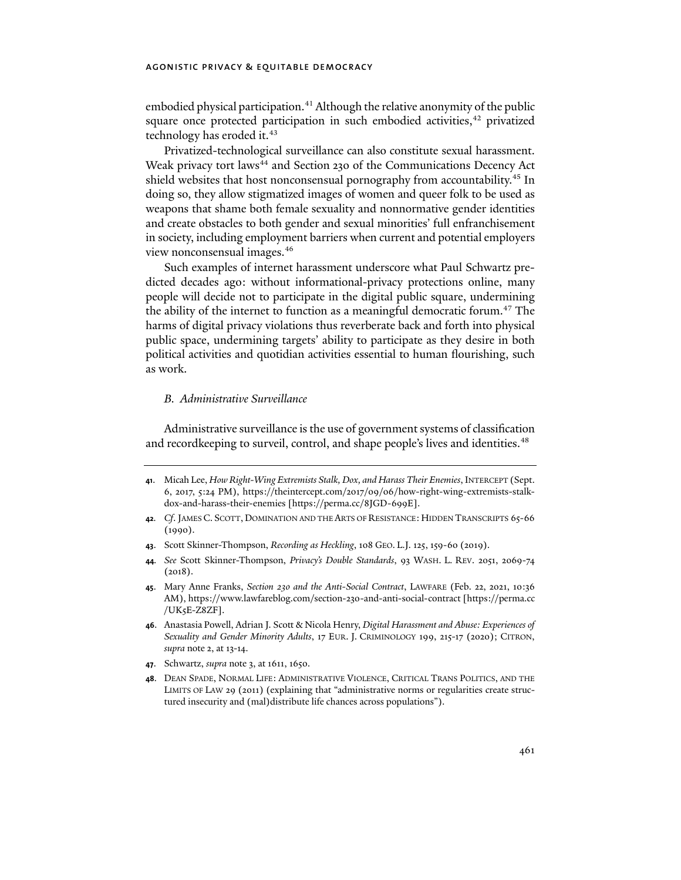embodied physical participation.<sup>[41](#page-7-0)</sup> Although the relative anonymity of the public square once protected participation in such embodied activities, $42$  privatized technology has eroded it.<sup>[43](#page-7-2)</sup>

Privatized-technological surveillance can also constitute sexual harassment. Weak privacy tort laws<sup>[44](#page-7-3)</sup> and Section 230 of the Communications Decency Act shield websites that host nonconsensual pornography from accountability.[45](#page-7-4) In doing so, they allow stigmatized images of women and queer folk to be used as weapons that shame both female sexuality and nonnormative gender identities and create obstacles to both gender and sexual minorities' full enfranchisement in society, including employment barriers when current and potential employers view nonconsensual images.[46](#page-7-5)

Such examples of internet harassment underscore what Paul Schwartz predicted decades ago: without informational-privacy protections online, many people will decide not to participate in the digital public square, undermining the ability of the internet to function as a meaningful democratic forum.<sup>[47](#page-7-6)</sup> The harms of digital privacy violations thus reverberate back and forth into physical public space, undermining targets' ability to participate as they desire in both political activities and quotidian activities essential to human flourishing, such as work.

## *B. Administrative Surveillance*

Administrative surveillance is the use of government systems of classification and recordkeeping to surveil, control, and shape people's lives and identities.<sup>48</sup>

- <span id="page-7-0"></span>**41**. Micah Lee, *How Right-Wing Extremists Stalk, Dox, and Harass Their Enemies*, INTERCEPT (Sept. 6, 2017, 5:24 PM), https://theintercept.com/2017/09/06/how-right-wing-extremists-stalkdox-and-harass-their-enemies [https://perma.cc/8JGD-699E].
- <span id="page-7-1"></span>**42***. Cf*. JAMES C. SCOTT, DOMINATION AND THE ARTS OF RESISTANCE:HIDDEN TRANSCRIPTS 65-66 (1990).
- <span id="page-7-2"></span>**43**. Scott Skinner-Thompson, *Recording as Heckling*, 108 GEO. L.J. 125, 159-60 (2019).
- <span id="page-7-3"></span>**44***. See* Scott Skinner-Thompson, *Privacy's Double Standards*, 93 WASH. L. REV. 2051, 2069-74 (2018).
- <span id="page-7-4"></span>**45**. Mary Anne Franks, *Section 230 and the Anti-Social Contract*, LAWFARE (Feb. 22, 2021, 10:36 AM), https://www.lawfareblog.com/section-230-and-anti-social-contract [https://perma.cc /UK5E-Z8ZF].
- <span id="page-7-5"></span>**46**. Anastasia Powell, Adrian J. Scott & Nicola Henry, *Digital Harassment and Abuse: Experiences of Sexuality and Gender Minority Adults*, 17 EUR. J. CRIMINOLOGY 199, 215-17 (2020); CITRON, *supra* not[e 2,](#page-0-3) at 13-14.
- <span id="page-7-6"></span>**47**. Schwartz, *supra* note [3,](#page-1-9) at 1611, 1650.
- <span id="page-7-7"></span>**48**. DEAN SPADE, NORMAL LIFE: ADMINISTRATIVE VIOLENCE, CRITICAL TRANS POLITICS, AND THE LIMITS OF LAW 29 (2011) (explaining that "administrative norms or regularities create structured insecurity and (mal)distribute life chances across populations").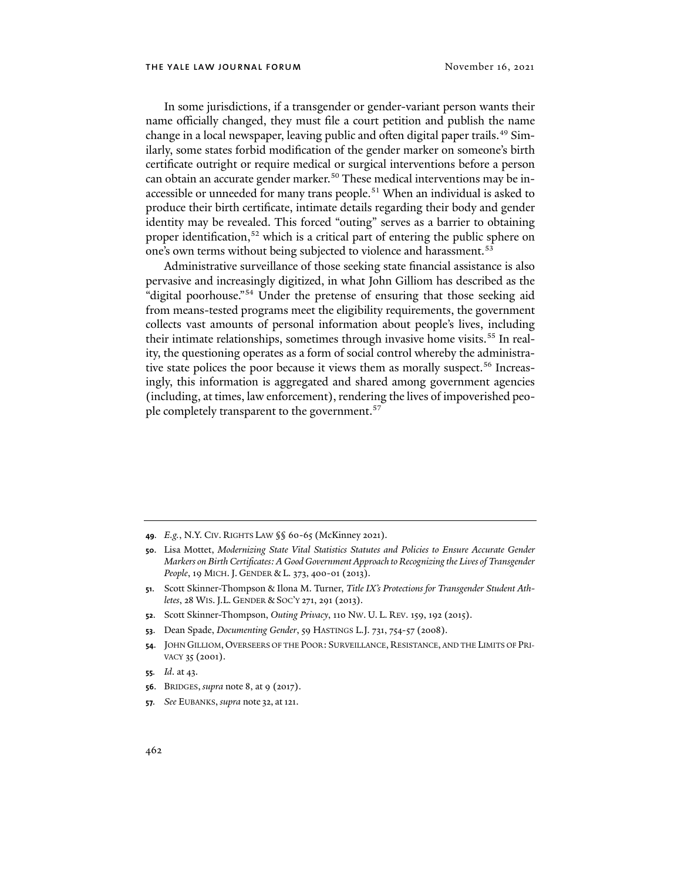In some jurisdictions, if a transgender or gender-variant person wants their name officially changed, they must file a court petition and publish the name change in a local newspaper, leaving public and often digital paper trails.<sup>[49](#page-8-0)</sup> Similarly, some states forbid modification of the gender marker on someone's birth certificate outright or require medical or surgical interventions before a person can obtain an accurate gender marker.<sup>[50](#page-8-1)</sup> These medical interventions may be in-accessible or unneeded for many trans people.<sup>[51](#page-8-2)</sup> When an individual is asked to produce their birth certificate, intimate details regarding their body and gender identity may be revealed. This forced "outing" serves as a barrier to obtaining proper identification,<sup>[52](#page-8-3)</sup> which is a critical part of entering the public sphere on one's own terms without being subjected to violence and harassment.<sup>[53](#page-8-4)</sup>

Administrative surveillance of those seeking state financial assistance is also pervasive and increasingly digitized, in what John Gilliom has described as the "digital poorhouse."[54](#page-8-5) Under the pretense of ensuring that those seeking aid from means-tested programs meet the eligibility requirements, the government collects vast amounts of personal information about people's lives, including their intimate relationships, sometimes through invasive home visits.<sup>[55](#page-8-6)</sup> In reality, the questioning operates as a form of social control whereby the administra-tive state polices the poor because it views them as morally suspect.<sup>[56](#page-8-7)</sup> Increasingly, this information is aggregated and shared among government agencies (including, at times, law enforcement), rendering the lives of impoverished people completely transparent to the government.<sup>57</sup>

- <span id="page-8-0"></span>**49***. E.g.*, N.Y. CIV. RIGHTS LAW §§ 60-65 (McKinney 2021).
- <span id="page-8-1"></span>**50**. Lisa Mottet, *Modernizing State Vital Statistics Statutes and Policies to Ensure Accurate Gender Markers on Birth Certificates: A Good Government Approach to Recognizing the Lives of Transgender People*, 19 MICH.J. GENDER & L. 373, 400-01 (2013).
- <span id="page-8-2"></span>**51**. Scott Skinner-Thompson & Ilona M. Turner, *Title IX's Protections for Transgender Student Athletes*, 28 WIS.J.L. GENDER & SOC'Y 271, 291 (2013).
- <span id="page-8-3"></span>**52**. Scott Skinner-Thompson, *Outing Privacy*, 110 NW. U. L. REV. 159, 192 (2015).
- <span id="page-8-4"></span>**53**. Dean Spade, *Documenting Gender*, 59 HASTINGS L.J. 731, 754-57 (2008).
- <span id="page-8-5"></span>**54**. JOHN GILLIOM, OVERSEERS OF THE POOR: SURVEILLANCE, RESISTANCE, AND THE LIMITS OF PRI-VACY 35 (2001).
- <span id="page-8-6"></span>**55***. Id*. at 43.
- <span id="page-8-7"></span>**56**. BRIDGES, *supra* note [8,](#page-1-0) at 9 (2017).
- <span id="page-8-8"></span>**57***. See* EUBANKS, *supra* note [32,](#page-5-6) at121.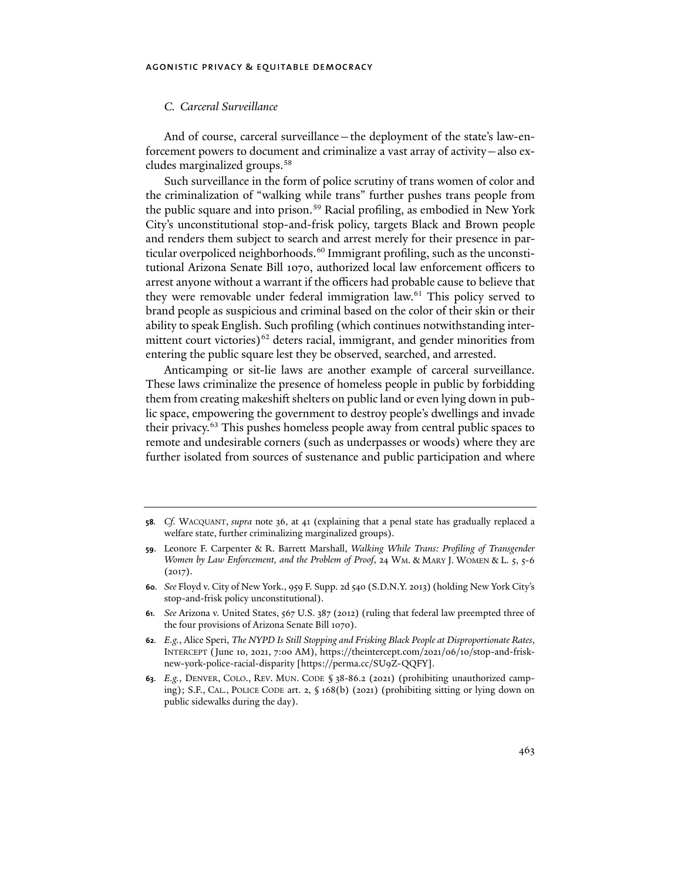## *C. Carceral Surveillance*

And of course, carceral surveillance—the deployment of the state's law-enforcement powers to document and criminalize a vast array of activity—also excludes marginalized groups.[58](#page-9-0)

Such surveillance in the form of police scrutiny of trans women of color and the criminalization of "walking while trans" further pushes trans people from the public square and into prison.<sup>[59](#page-9-1)</sup> Racial profiling, as embodied in New York City's unconstitutional stop-and-frisk policy, targets Black and Brown people and renders them subject to search and arrest merely for their presence in par-ticular overpoliced neighborhoods.<sup>[60](#page-9-2)</sup> Immigrant profiling, such as the unconstitutional Arizona Senate Bill 1070, authorized local law enforcement officers to arrest anyone without a warrant if the officers had probable cause to believe that they were removable under federal immigration law.<sup>[61](#page-9-3)</sup> This policy served to brand people as suspicious and criminal based on the color of their skin or their ability to speak English. Such profiling (which continues notwithstanding inter-mittent court victories)<sup>[62](#page-9-4)</sup> deters racial, immigrant, and gender minorities from entering the public square lest they be observed, searched, and arrested.

Anticamping or sit-lie laws are another example of carceral surveillance. These laws criminalize the presence of homeless people in public by forbidding them from creating makeshift shelters on public land or even lying down in public space, empowering the government to destroy people's dwellings and invade their privacy.[63](#page-9-5) This pushes homeless people away from central public spaces to remote and undesirable corners (such as underpasses or woods) where they are further isolated from sources of sustenance and public participation and where

<span id="page-9-0"></span>**<sup>58</sup>***. Cf.* WACQUANT, *supra* note [36,](#page-6-6) at 41 (explaining that a penal state has gradually replaced a welfare state, further criminalizing marginalized groups).

<span id="page-9-1"></span>**<sup>59</sup>**. Leonore F. Carpenter & R. Barrett Marshall, *Walking While Trans: Profiling of Transgender Women by Law Enforcement, and the Problem of Proof*, 24 WM. & MARY J. WOMEN & L. 5, 5-6  $(2017).$ 

<span id="page-9-2"></span>**<sup>60</sup>***. See* Floyd v. City of New York., 959 F. Supp. 2d 540 (S.D.N.Y. 2013) (holding New York City's stop-and-frisk policy unconstitutional).

<span id="page-9-3"></span>**<sup>61</sup>***. See* Arizona v. United States, 567 U.S. 387 (2012) (ruling that federal law preempted three of the four provisions of Arizona Senate Bill 1070).

<span id="page-9-4"></span>**<sup>62</sup>***. E.g.*, Alice Speri, *The NYPD Is Still Stopping and Frisking Black People at Disproportionate Rates*, INTERCEPT (June 10, 2021, 7:00 AM), https://theintercept.com/2021/06/10/stop-and-frisknew-york-police-racial-disparity [https://perma.cc/SU9Z-QQFY].

<span id="page-9-5"></span>**<sup>63</sup>***. E.g.*, DENVER, COLO., REV. MUN. CODE § 38-86.2 (2021) (prohibiting unauthorized camping); S.F., CAL., POLICE CODE art. 2, § 168(b) (2021) (prohibiting sitting or lying down on public sidewalks during the day).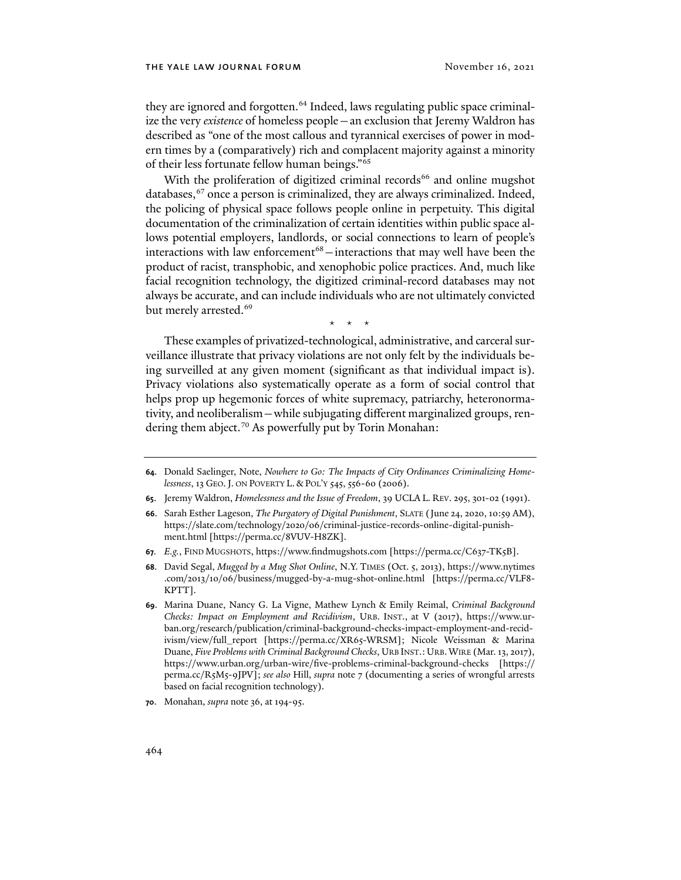they are ignored and forgotten.<sup>[64](#page-10-0)</sup> Indeed, laws regulating public space criminalize the very *existence* of homeless people—an exclusion that Jeremy Waldron has described as "one of the most callous and tyrannical exercises of power in modern times by a (comparatively) rich and complacent majority against a minority of their less fortunate fellow human beings."[65](#page-10-1)

With the proliferation of digitized criminal records<sup>[66](#page-10-2)</sup> and online mugshot databases,<sup>[67](#page-10-3)</sup> once a person is criminalized, they are always criminalized. Indeed, the policing of physical space follows people online in perpetuity. This digital documentation of the criminalization of certain identities within public space allows potential employers, landlords, or social connections to learn of people's interactions with law enforcement<sup>[68](#page-10-4)</sup>  $-$  interactions that may well have been the product of racist, transphobic, and xenophobic police practices. And, much like facial recognition technology, the digitized criminal-record databases may not always be accurate, and can include individuals who are not ultimately convicted but merely arrested.<sup>[69](#page-10-5)</sup>

\* \* \*

These examples of privatized-technological, administrative, and carceral surveillance illustrate that privacy violations are not only felt by the individuals being surveilled at any given moment (significant as that individual impact is). Privacy violations also systematically operate as a form of social control that helps prop up hegemonic forces of white supremacy, patriarchy, heteronormativity, and neoliberalism—while subjugating different marginalized groups, ren-dering them abject.<sup>[70](#page-10-6)</sup> As powerfully put by Torin Monahan:

- <span id="page-10-1"></span>**65**. Jeremy Waldron, *Homelessness and the Issue of Freedom*, 39 UCLA L. REV. 295, 301-02 (1991).
- <span id="page-10-2"></span>**66**. Sarah Esther Lageson, *The Purgatory of Digital Punishment*, SLATE (June 24, 2020, 10:59 AM), https://slate.com/technology/2020/06/criminal-justice-records-online-digital-punishment.html [https://perma.cc/8VUV-H8ZK].
- <span id="page-10-3"></span>**67***. E.g.*, FIND MUGSHOTS, https://www.findmugshots.com [https://perma.cc/C637-TK5B].
- <span id="page-10-4"></span>**68**. David Segal, *Mugged by a Mug Shot Online*, N.Y. TIMES (Oct. 5, 2013), https://www.nytimes .com/2013/10/06/business/mugged-by-a-mug-shot-online.html [https://perma.cc/VLF8- KPTT].
- <span id="page-10-5"></span>**69**. Marina Duane, Nancy G. La Vigne, Mathew Lynch & Emily Reimal, *Criminal Background Checks: Impact on Employment and Recidivism*, URB. INST., at V (2017), https://www.urban.org/research/publication/criminal-background-checks-impact-employment-and-recidivism/view/full\_report [https://perma.cc/XR65-WRSM]; Nicole Weissman & Marina Duane, *Five Problems with Criminal Background Checks*, URB INST.:URB.WIRE (Mar. 13, 2017), https://www.urban.org/urban-wire/five-problems-criminal-background-checks [https:// perma.cc/R5M5-9JPV]; *see also* Hill, *supra* note [7](#page-1-10) (documenting a series of wrongful arrests based on facial recognition technology).

<span id="page-10-6"></span>**70**. Monahan, *supra* not[e 36,](#page-6-6) at 194-95.

<span id="page-10-0"></span>**<sup>64</sup>**. Donald Saelinger, Note, *Nowhere to Go: The Impacts of City Ordinances Criminalizing Homelessness*, 13 GEO.J. ON POVERTY L. & POL'Y 545, 556-60 (2006).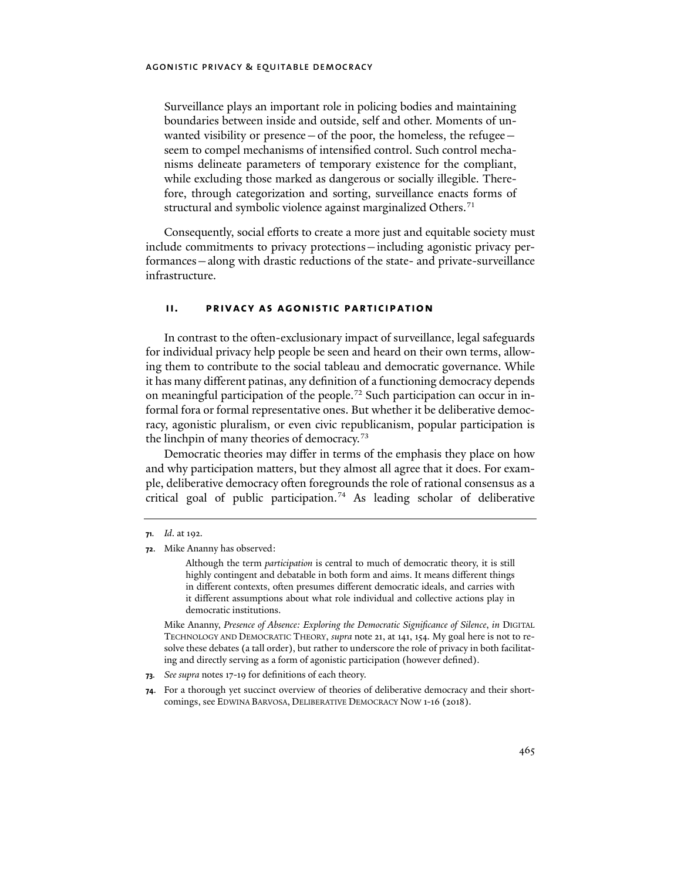Surveillance plays an important role in policing bodies and maintaining boundaries between inside and outside, self and other. Moments of unwanted visibility or presence  $-$  of the poor, the homeless, the refugee  $$ seem to compel mechanisms of intensified control. Such control mechanisms delineate parameters of temporary existence for the compliant, while excluding those marked as dangerous or socially illegible. Therefore, through categorization and sorting, surveillance enacts forms of structural and symbolic violence against marginalized Others.<sup>[71](#page-11-0)</sup>

Consequently, social efforts to create a more just and equitable society must include commitments to privacy protections—including agonistic privacy performances—along with drastic reductions of the state- and private-surveillance infrastructure.

## <span id="page-11-4"></span>**ii. privacy as agonistic participation**

In contrast to the often-exclusionary impact of surveillance, legal safeguards for individual privacy help people be seen and heard on their own terms, allowing them to contribute to the social tableau and democratic governance. While it has many different patinas, any definition of a functioning democracy depends on meaningful participation of the people.<sup>72</sup> Such participation can occur in informal fora or formal representative ones. But whether it be deliberative democracy, agonistic pluralism, or even civic republicanism, popular participation is the linchpin of many theories of democracy.<sup>[73](#page-11-2)</sup>

Democratic theories may differ in terms of the emphasis they place on how and why participation matters, but they almost all agree that it does. For example, deliberative democracy o�en foregrounds the role of rational consensus as a critical goal of public participation.<sup>[74](#page-11-3)</sup> As leading scholar of deliberative

Although the term *participation* is central to much of democratic theory, it is still highly contingent and debatable in both form and aims. It means different things in different contexts, often presumes different democratic ideals, and carries with it different assumptions about what role individual and collective actions play in democratic institutions.

Mike Ananny, *Presence of Absence: Exploring the Democratic Significance of Silence*, *in* DIGITAL TECHNOLOGY AND DEMOCRATIC THEORY, *supra* note [21,](#page-3-7) at 141, 154. My goal here is not to resolve these debates (a tall order), but rather to underscore the role of privacy in both facilitating and directly serving as a form of agonistic participation (however defined).

<span id="page-11-2"></span>**73***. See supra* notes [17](#page-3-8)[-19](#page-3-9) for definitions of each theory.

<span id="page-11-3"></span>**74**. For a thorough yet succinct overview of theories of deliberative democracy and their shortcomings, see EDWINA BARVOSA, DELIBERATIVE DEMOCRACY NOW 1-16 (2018).

<span id="page-11-0"></span>**<sup>71</sup>***. Id*. at 192.

<span id="page-11-1"></span>**<sup>72</sup>**. Mike Ananny has observed: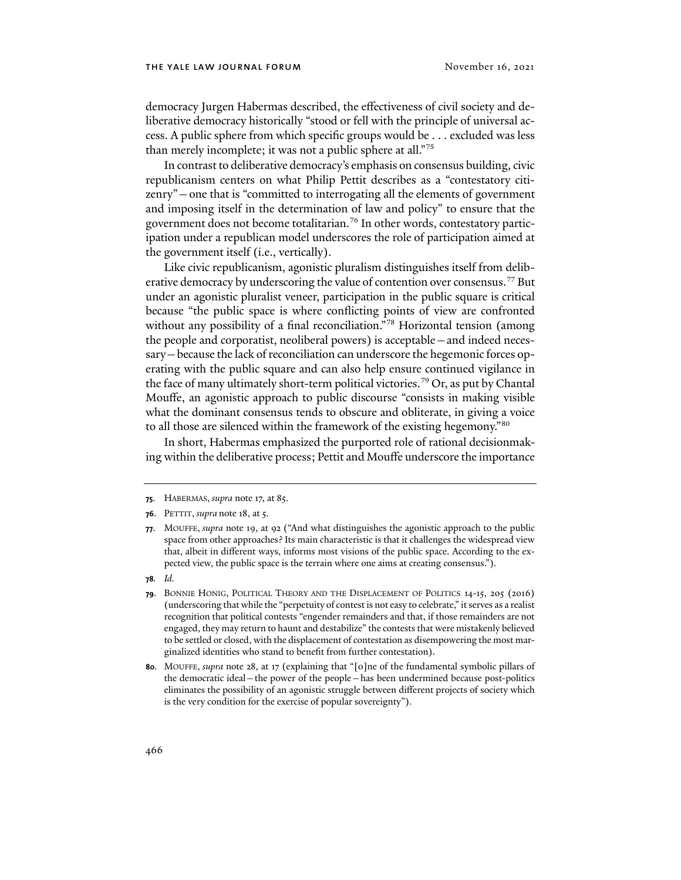democracy Jurgen Habermas described, the effectiveness of civil society and deliberative democracy historically "stood or fell with the principle of universal access. A public sphere from which specific groups would be . . . excluded was less than merely incomplete; it was not a public sphere at all."[75](#page-12-0)

In contrast to deliberative democracy's emphasis on consensus building, civic republicanism centers on what Philip Pettit describes as a "contestatory citizenry"—one that is "committed to interrogating all the elements of government and imposing itself in the determination of law and policy" to ensure that the government does not become totalitarian.[76](#page-12-1) In other words, contestatory participation under a republican model underscores the role of participation aimed at the government itself (i.e., vertically).

Like civic republicanism, agonistic pluralism distinguishes itself from delib-erative democracy by underscoring the value of contention over consensus.<sup>[77](#page-12-2)</sup> But under an agonistic pluralist veneer, participation in the public square is critical because "the public space is where conflicting points of view are confronted without any possibility of a final reconciliation."<sup>[78](#page-12-3)</sup> Horizontal tension (among the people and corporatist, neoliberal powers) is acceptable—and indeed necessary—because the lack of reconciliation can underscore the hegemonic forces operating with the public square and can also help ensure continued vigilance in the face of many ultimately short-term political victories.<sup>[79](#page-12-4)</sup> Or, as put by Chantal Mouffe, an agonistic approach to public discourse "consists in making visible what the dominant consensus tends to obscure and obliterate, in giving a voice to all those are silenced within the framework of the existing hegemony."[80](#page-12-5)

In short, Habermas emphasized the purported role of rational decisionmaking within the deliberative process; Pettit and Mouffe underscore the importance

<span id="page-12-0"></span>**<sup>75</sup>**. HABERMAS, *supra* not[e 17,](#page-3-8) at 85.

<span id="page-12-1"></span>**<sup>76</sup>**. PETTIT, *supra* note [18,](#page-3-10) at 5.

<span id="page-12-2"></span>**<sup>77</sup>**. MOUFFE, *supra* not[e 19,](#page-3-9) at 92 ("And what distinguishes the agonistic approach to the public space from other approaches? Its main characteristic is that it challenges the widespread view that, albeit in different ways, informs most visions of the public space. According to the expected view, the public space is the terrain where one aims at creating consensus.").

<span id="page-12-3"></span>**<sup>78</sup>***. Id.*

<span id="page-12-4"></span>**<sup>79</sup>**. BONNIE HONIG, POLITICAL THEORY AND THE DISPLACEMENT OF POLITICS 14-15, 205 (2016) (underscoring that while the "perpetuity of contest is not easy to celebrate," it serves as a realist recognition that political contests "engender remainders and that, if those remainders are not engaged, they may return to haunt and destabilize" the contests that were mistakenly believed to be settled or closed, with the displacement of contestation as disempowering the most marginalized identities who stand to benefit from further contestation).

<span id="page-12-5"></span>**<sup>80</sup>**. MOUFFE, *supra* not[e 28,](#page-4-6) at 17 (explaining that "[o]ne of the fundamental symbolic pillars of the democratic ideal—the power of the people—has been undermined because post-politics eliminates the possibility of an agonistic struggle between different projects of society which is the very condition for the exercise of popular sovereignty").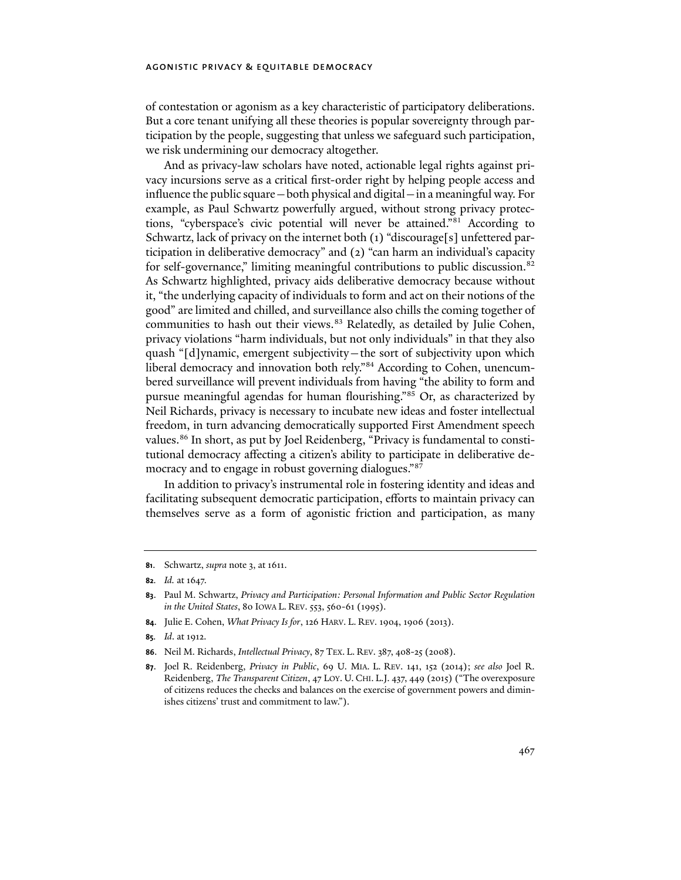of contestation or agonism as a key characteristic of participatory deliberations. But a core tenant unifying all these theories is popular sovereignty through participation by the people, suggesting that unless we safeguard such participation, we risk undermining our democracy altogether.

And as privacy-law scholars have noted, actionable legal rights against privacy incursions serve as a critical first-order right by helping people access and influence the public square—both physical and digital—in a meaningful way. For example, as Paul Schwartz powerfully argued, without strong privacy protections, "cyberspace's civic potential will never be attained.["81](#page-13-0) According to Schwartz, lack of privacy on the internet both (1) "discourage[s] unfettered participation in deliberative democracy" and (2) "can harm an individual's capacity for self-governance," limiting meaningful contributions to public discussion.[82](#page-13-1) As Schwartz highlighted, privacy aids deliberative democracy because without it, "the underlying capacity of individuals to form and act on their notions of the good" are limited and chilled, and surveillance also chills the coming together of communities to hash out their views.<sup>[83](#page-13-2)</sup> Relatedly, as detailed by Julie Cohen, privacy violations "harm individuals, but not only individuals" in that they also quash "[d]ynamic, emergent subjectivity—the sort of subjectivity upon which liberal democracy and innovation both rely."<sup>[84](#page-13-3)</sup> According to Cohen, unencumbered surveillance will prevent individuals from having "the ability to form and pursue meaningful agendas for human flourishing."[85](#page-13-4) Or, as characterized by Neil Richards, privacy is necessary to incubate new ideas and foster intellectual freedom, in turn advancing democratically supported First Amendment speech values.<sup>[86](#page-13-5)</sup> In short, as put by Joel Reidenberg, "Privacy is fundamental to constitutional democracy affecting a citizen's ability to participate in deliberative democracy and to engage in robust governing dialogues."[87](#page-13-6)

In addition to privacy's instrumental role in fostering identity and ideas and facilitating subsequent democratic participation, efforts to maintain privacy can themselves serve as a form of agonistic friction and participation, as many

<span id="page-13-3"></span>**84**. Julie E. Cohen, *What Privacy Is for*, 126 HARV. L. REV. 1904, 1906 (2013).

<span id="page-13-5"></span>**86**. Neil M. Richards, *Intellectual Privacy*, 87 TEX. L. REV. 387, 408-25 (2008).

<span id="page-13-0"></span>**<sup>81</sup>**. Schwartz, *supra* note [3,](#page-1-9) at 1611.

<span id="page-13-1"></span>**<sup>82</sup>***. Id.* at 1647.

<span id="page-13-2"></span>**<sup>83</sup>**. Paul M. Schwartz, *Privacy and Participation: Personal Information and Public Sector Regulation in the United States*, 80 IOWA L. REV. 553, 560-61 (1995).

<span id="page-13-4"></span>**<sup>85</sup>***. Id*. at 1912.

<span id="page-13-6"></span>**<sup>87</sup>**. Joel R. Reidenberg, *Privacy in Public*, 69 U. MIA. L. REV. 141, 152 (2014); *see also* Joel R. Reidenberg, *The Transparent Citizen*, 47 LOY. U. CHI. L.J. 437, 449 (2015) ("The overexposure of citizens reduces the checks and balances on the exercise of government powers and diminishes citizens' trust and commitment to law.").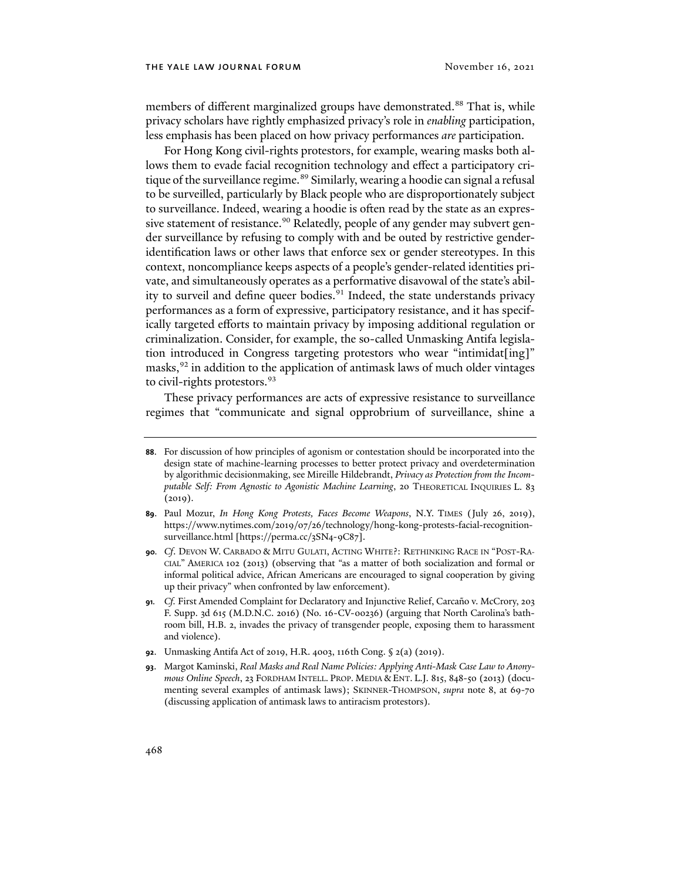members of different marginalized groups have demonstrated.<sup>[88](#page-14-0)</sup> That is, while privacy scholars have rightly emphasized privacy's role in *enabling* participation, less emphasis has been placed on how privacy performances *are* participation.

For Hong Kong civil-rights protestors, for example, wearing masks both allows them to evade facial recognition technology and effect a participatory cri-tique of the surveillance regime.<sup>[89](#page-14-1)</sup> Similarly, wearing a hoodie can signal a refusal to be surveilled, particularly by Black people who are disproportionately subject to surveillance. Indeed, wearing a hoodie is often read by the state as an expres-sive statement of resistance.<sup>[90](#page-14-2)</sup> Relatedly, people of any gender may subvert gender surveillance by refusing to comply with and be outed by restrictive genderidentification laws or other laws that enforce sex or gender stereotypes. In this context, noncompliance keeps aspects of a people's gender-related identities private, and simultaneously operates as a performative disavowal of the state's abil-ity to surveil and define queer bodies.<sup>[91](#page-14-3)</sup> Indeed, the state understands privacy performances as a form of expressive, participatory resistance, and it has specifically targeted efforts to maintain privacy by imposing additional regulation or criminalization. Consider, for example, the so-called Unmasking Antifa legislation introduced in Congress targeting protestors who wear "intimidat[ing]" masks,<sup>[92](#page-14-4)</sup> in addition to the application of antimask laws of much older vintages to civil-rights protestors.<sup>[93](#page-14-5)</sup>

These privacy performances are acts of expressive resistance to surveillance regimes that "communicate and signal opprobrium of surveillance, shine a

- <span id="page-14-4"></span>**92**. Unmasking Antifa Act of 2019, H.R. 4003, 116th Cong. § 2(a) (2019).
- <span id="page-14-5"></span>**93**. Margot Kaminski, *Real Masks and Real Name Policies: Applying Anti-Mask Case Law to Anonymous Online Speech*, 23 FORDHAM INTELL. PROP. MEDIA & ENT. L.J. 815, 848-50 (2013) (documenting several examples of antimask laws); SKINNER-THOMPSON, *supra* note [8,](#page-1-0) at 69-70 (discussing application of antimask laws to antiracism protestors).

<span id="page-14-0"></span>**<sup>88</sup>**. For discussion of how principles of agonism or contestation should be incorporated into the design state of machine-learning processes to better protect privacy and overdetermination by algorithmic decisionmaking, see Mireille Hildebrandt, *Privacy as Protection from the Incomputable Self: From Agnostic to Agonistic Machine Learning*, 20 THEORETICAL INQUIRIES L. 83  $(2019).$ 

<span id="page-14-1"></span>**<sup>89</sup>**. Paul Mozur, *In Hong Kong Protests, Faces Become Weapons*, N.Y. TIMES (July 26, 2019), https://www.nytimes.com/2019/07/26/technology/hong-kong-protests-facial-recognitionsurveillance.html [https://perma.cc/3SN4-9C87].

<span id="page-14-2"></span>**<sup>90</sup>***. Cf*. DEVON W. CARBADO & MITU GULATI, ACTING WHITE?: RETHINKING RACE IN "POST-RA-CIAL" AMERICA 102 (2013) (observing that "as a matter of both socialization and formal or informal political advice, African Americans are encouraged to signal cooperation by giving up their privacy" when confronted by law enforcement).

<span id="page-14-3"></span>**<sup>91</sup>***. Cf.* First Amended Complaint for Declaratory and Injunctive Relief, Carcaño v. McCrory, 203 F. Supp. 3d 615 (M.D.N.C. 2016) (No. 16-CV-00236) (arguing that North Carolina's bathroom bill, H.B. 2, invades the privacy of transgender people, exposing them to harassment and violence).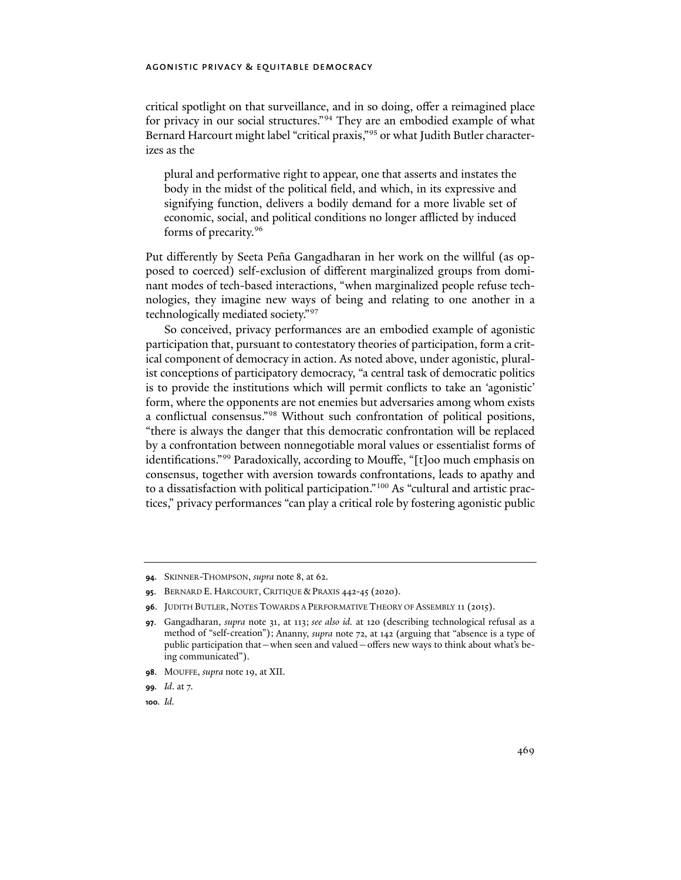critical spotlight on that surveillance, and in so doing, offer a reimagined place for privacy in our social structures."<sup>[94](#page-15-0)</sup> They are an embodied example of what Bernard Harcourt might label "critical praxis,"[95](#page-15-1) or what Judith Butler characterizes as the

plural and performative right to appear, one that asserts and instates the body in the midst of the political field, and which, in its expressive and signifying function, delivers a bodily demand for a more livable set of economic, social, and political conditions no longer afflicted by induced forms of precarity.[96](#page-15-2)

Put differently by Seeta Peña Gangadharan in her work on the willful (as opposed to coerced) self-exclusion of different marginalized groups from dominant modes of tech-based interactions, "when marginalized people refuse technologies, they imagine new ways of being and relating to one another in a technologically mediated society."[97](#page-15-3)

So conceived, privacy performances are an embodied example of agonistic participation that, pursuant to contestatory theories of participation, form a critical component of democracy in action. As noted above, under agonistic, pluralist conceptions of participatory democracy, "a central task of democratic politics is to provide the institutions which will permit conflicts to take an 'agonistic' form, where the opponents are not enemies but adversaries among whom exists a conflictual consensus."[98](#page-15-4) Without such confrontation of political positions, "there is always the danger that this democratic confrontation will be replaced by a confrontation between nonnegotiable moral values or essentialist forms of identifications."[99](#page-15-5) Paradoxically, according to Mouffe, "[t]oo much emphasis on consensus, together with aversion towards confrontations, leads to apathy and to a dissatisfaction with political participation."[100](#page-15-6) As "cultural and artistic practices," privacy performances "can play a critical role by fostering agonistic public

<span id="page-15-6"></span>**100***. Id.*

<span id="page-15-0"></span>**<sup>94</sup>**. SKINNER-THOMPSON, *supra* not[e 8,](#page-1-0) at 62.

<span id="page-15-1"></span>**<sup>95</sup>**. BERNARD E. HARCOURT, CRITIQUE & PRAXIS 442-45 (2020).

<span id="page-15-3"></span><span id="page-15-2"></span>**<sup>96</sup>**. JUDITH BUTLER, NOTES TOWARDS A PERFORMATIVE THEORY OF ASSEMBLY 11 (2015).

**<sup>97</sup>**. Gangadharan, *supra* note [31,](#page-5-7) at 113; *see also id.* at 120 (describing technological refusal as a method of "self-creation"); Ananny, *supra* note [72,](#page-11-4) at 142 (arguing that "absence is a type of public participation that—when seen and valued—offers new ways to think about what's being communicated").

<span id="page-15-4"></span>**<sup>98</sup>**. MOUFFE, *supra* note [19,](#page-3-9) at XII.

<span id="page-15-5"></span>**<sup>99</sup>***. Id*. at 7.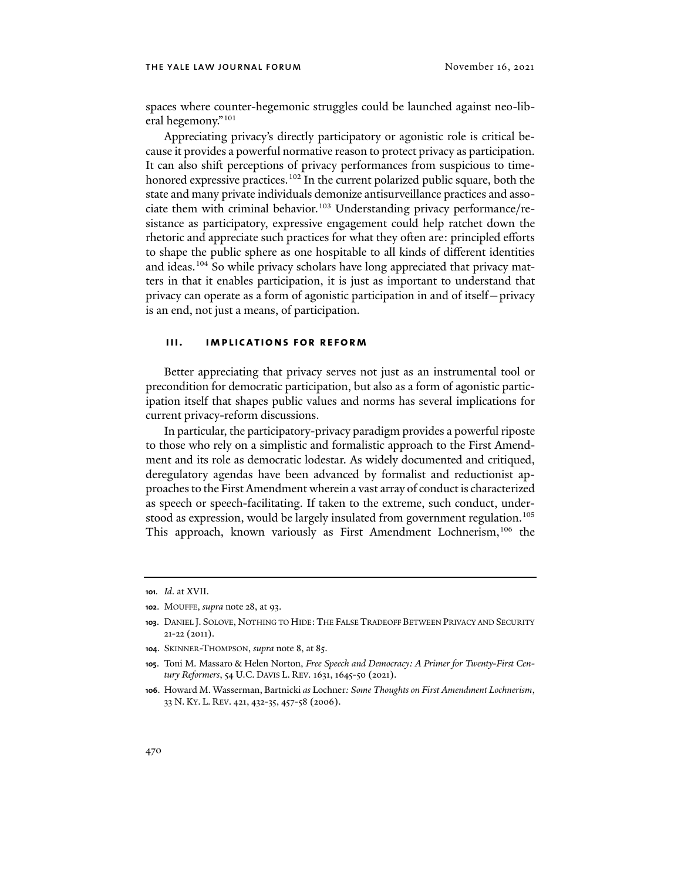spaces where counter-hegemonic struggles could be launched against neo-liberal hegemony."[101](#page-16-0)

Appreciating privacy's directly participatory or agonistic role is critical because it provides a powerful normative reason to protect privacy as participation. It can also shift perceptions of privacy performances from suspicious to time-honored expressive practices.<sup>[102](#page-16-1)</sup> In the current polarized public square, both the state and many private individuals demonize antisurveillance practices and associate them with criminal behavior. [103](#page-16-2) Understanding privacy performance/resistance as participatory, expressive engagement could help ratchet down the rhetoric and appreciate such practices for what they often are: principled efforts to shape the public sphere as one hospitable to all kinds of different identities and ideas.<sup>[104](#page-16-3)</sup> So while privacy scholars have long appreciated that privacy matters in that it enables participation, it is just as important to understand that privacy can operate as a form of agonistic participation in and of itself—privacy is an end, not just a means, of participation.

## **iii. implications for reform**

Better appreciating that privacy serves not just as an instrumental tool or precondition for democratic participation, but also as a form of agonistic participation itself that shapes public values and norms has several implications for current privacy-reform discussions.

In particular, the participatory-privacy paradigm provides a powerful riposte to those who rely on a simplistic and formalistic approach to the First Amendment and its role as democratic lodestar. As widely documented and critiqued, deregulatory agendas have been advanced by formalist and reductionist approaches to the First Amendment wherein a vast array of conduct is characterized as speech or speech-facilitating. If taken to the extreme, such conduct, under-stood as expression, would be largely insulated from government regulation.<sup>[105](#page-16-4)</sup> This approach, known variously as First Amendment Lochnerism,<sup>[106](#page-16-5)</sup> the

<span id="page-16-0"></span>**<sup>101</sup>***. Id*. at XVII.

<span id="page-16-1"></span>**<sup>102</sup>**. MOUFFE, *supra* note [28,](#page-4-6) at 93.

<span id="page-16-2"></span>**<sup>103</sup>**. DANIEL J. SOLOVE, NOTHING TO HIDE:THE FALSE TRADEOFF BETWEEN PRIVACY AND SECURITY 21-22 (2011).

<span id="page-16-3"></span>**<sup>104</sup>**. SKINNER-THOMPSON, *supra* not[e 8,](#page-1-0) at 85.

<span id="page-16-4"></span>**<sup>105</sup>**. Toni M. Massaro & Helen Norton, *Free Speech and Democracy: A Primer for Twenty-First Century Reformers*, 54 U.C. DAVIS L. REV. 1631, 1645-50 (2021).

<span id="page-16-5"></span>**<sup>106</sup>**. Howard M. Wasserman, Bartnicki *as* Lochner*: Some Thoughts on First Amendment Lochnerism*, 33 N. KY. L. REV. 421, 432-35, 457-58 (2006).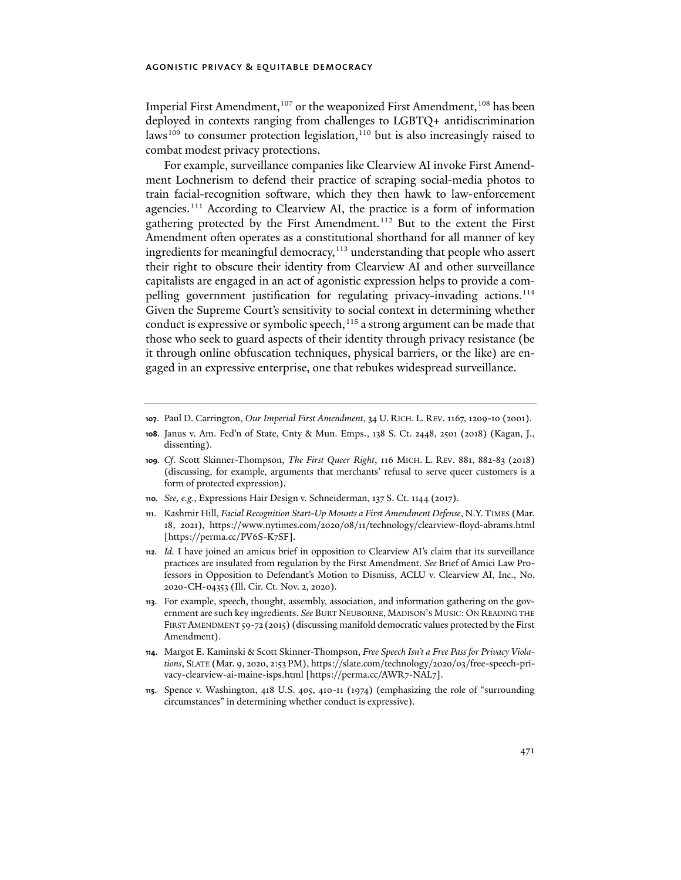Imperial First Amendment,<sup>[107](#page-17-0)</sup> or the weaponized First Amendment,<sup>[108](#page-17-1)</sup> has been deployed in contexts ranging from challenges to LGBTQ+ antidiscrimination laws<sup>[109](#page-17-2)</sup> to consumer protection legislation,<sup>110</sup> but is also increasingly raised to combat modest privacy protections.

For example, surveillance companies like Clearview AI invoke First Amendment Lochnerism to defend their practice of scraping social-media photos to train facial-recognition software, which they then hawk to law-enforcement agencies.<sup>[111](#page-17-4)</sup> According to Clearview AI, the practice is a form of information gathering protected by the First Amendment.<sup>[112](#page-17-5)</sup> But to the extent the First Amendment often operates as a constitutional shorthand for all manner of key ingredients for meaningful democracy,<sup>[113](#page-17-6)</sup> understanding that people who assert their right to obscure their identity from Clearview AI and other surveillance capitalists are engaged in an act of agonistic expression helps to provide a compelling government justification for regulating privacy-invading actions.[114](#page-17-7) Given the Supreme Court's sensitivity to social context in determining whether conduct is expressive or symbolic speech,  $115$  a strong argument can be made that those who seek to guard aspects of their identity through privacy resistance (be it through online obfuscation techniques, physical barriers, or the like) are engaged in an expressive enterprise, one that rebukes widespread surveillance.

<span id="page-17-0"></span>**<sup>107</sup>**. Paul D. Carrington, *Our Imperial First Amendment*, 34 U. RICH. L. REV. 1167, 1209-10 (2001).

<span id="page-17-1"></span>**<sup>108</sup>**. Janus v. Am. Fed'n of State, Cnty & Mun. Emps., 138 S. Ct. 2448, 2501 (2018) (Kagan, J., dissenting).

<span id="page-17-2"></span>**<sup>109</sup>***. Cf*. Scott Skinner-Thompson, *The First Queer Right*, 116 MICH. L. REV. 881, 882-83 (2018) (discussing, for example, arguments that merchants' refusal to serve queer customers is a form of protected expression).

<span id="page-17-3"></span>**<sup>110</sup>***. See, e.g.*, Expressions Hair Design v. Schneiderman, 137 S. Ct. 1144 (2017).

<span id="page-17-4"></span>**<sup>111</sup>**. Kashmir Hill, *Facial Recognition Start-Up Mounts a First Amendment Defense*, N.Y.TIMES (Mar. 18, 2021), https://www.nytimes.com/2020/08/11/technology/clearview-floyd-abrams.html [https://perma.cc/PV6S-K7SF].

<span id="page-17-5"></span>**<sup>112</sup>***. Id.* I have joined an amicus brief in opposition to Clearview AI's claim that its surveillance practices are insulated from regulation by the First Amendment. *See* Brief of Amici Law Professors in Opposition to Defendant's Motion to Dismiss, ACLU v. Clearview AI, Inc., No. 2020-CH-04353 (Ill. Cir. Ct. Nov. 2, 2020).

<span id="page-17-6"></span>**<sup>113</sup>**. For example, speech, thought, assembly, association, and information gathering on the government are such key ingredients. *See* BURT NEUBORNE, MADISON'S MUSIC: ON READING THE FIRST AMENDMENT 59-72 (2015) (discussing manifold democratic values protected by the First Amendment).

<span id="page-17-7"></span>**<sup>114</sup>**. Margot E. Kaminski & Scott Skinner-Thompson, *Free Speech Isn't a Free Pass for Privacy Violations*, SLATE (Mar. 9, 2020, 2:53 PM), https://slate.com/technology/2020/03/free-speech-privacy-clearview-ai-maine-isps.html [https://perma.cc/AWR7-NAL7].

<span id="page-17-8"></span>**<sup>115</sup>**. Spence v. Washington, 418 U.S. 405, 410-11 (1974) (emphasizing the role of "surrounding circumstances" in determining whether conduct is expressive).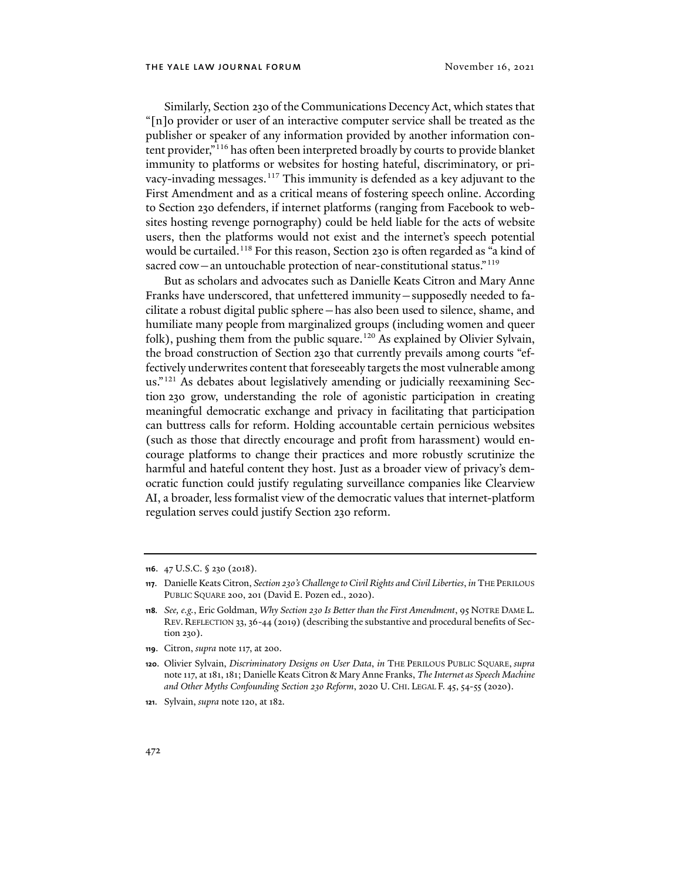<span id="page-18-0"></span>Similarly, Section 230 of the Communications Decency Act, which states that "[n]o provider or user of an interactive computer service shall be treated as the publisher or speaker of any information provided by another information con-tent provider,"<sup>[116](#page-18-2)</sup> has often been interpreted broadly by courts to provide blanket immunity to platforms or websites for hosting hateful, discriminatory, or privacy-invading messages.[117](#page-18-3) This immunity is defended as a key adjuvant to the First Amendment and as a critical means of fostering speech online. According to Section 230 defenders, if internet platforms (ranging from Facebook to websites hosting revenge pornography) could be held liable for the acts of website users, then the platforms would not exist and the internet's speech potential would be curtailed.<sup>[118](#page-18-4)</sup> For this reason, Section 230 is often regarded as "a kind of sacred cow—an untouchable protection of near-constitutional status."<sup>[119](#page-18-5)</sup>

<span id="page-18-1"></span>But as scholars and advocates such as Danielle Keats Citron and Mary Anne Franks have underscored, that unfettered immunity—supposedly needed to facilitate a robust digital public sphere—has also been used to silence, shame, and humiliate many people from marginalized groups (including women and queer folk), pushing them from the public square.<sup>[120](#page-18-6)</sup> As explained by Olivier Sylvain, the broad construction of Section 230 that currently prevails among courts "effectively underwrites content that foreseeably targets the most vulnerable among us."[121](#page-18-7) As debates about legislatively amending or judicially reexamining Section 230 grow, understanding the role of agonistic participation in creating meaningful democratic exchange and privacy in facilitating that participation can buttress calls for reform. Holding accountable certain pernicious websites (such as those that directly encourage and profit from harassment) would encourage platforms to change their practices and more robustly scrutinize the harmful and hateful content they host. Just as a broader view of privacy's democratic function could justify regulating surveillance companies like Clearview AI, a broader, less formalist view of the democratic values that internet-platform regulation serves could justify Section 230 reform.

<span id="page-18-2"></span>**<sup>116</sup>**. 47 U.S.C. § 230 (2018).

<span id="page-18-3"></span>**<sup>117</sup>**. Danielle Keats Citron, *Section 230's Challenge to Civil Rights and Civil Liberties*, *in* THE PERILOUS PUBLIC SQUARE 200, 201 (David E. Pozen ed., 2020).

<span id="page-18-4"></span>**<sup>118</sup>***. See, e.g.*, Eric Goldman, *Why Section 230 Is Better than the First Amendment*, 95 NOTRE DAME L. REV. REFLECTION 33, 36-44 (2019) (describing the substantive and procedural benefits of Section 230).

<span id="page-18-5"></span>**<sup>119</sup>**. Citron, *supra* not[e 117,](#page-18-0) at 200.

<span id="page-18-6"></span>**<sup>120</sup>**. Olivier Sylvain, *Discriminatory Designs on User Data*, *in* THE PERILOUS PUBLIC SQUARE, *supra* not[e 117,](#page-18-0) at 181, 181; Danielle Keats Citron & Mary Anne Franks, *The Internet as Speech Machine and Other Myths Confounding Section 230 Reform*, 2020 U. CHI. LEGAL F. 45, 54-55 (2020).

<span id="page-18-7"></span>**<sup>121</sup>**. Sylvain, *supra* note [120,](#page-18-1) at 182.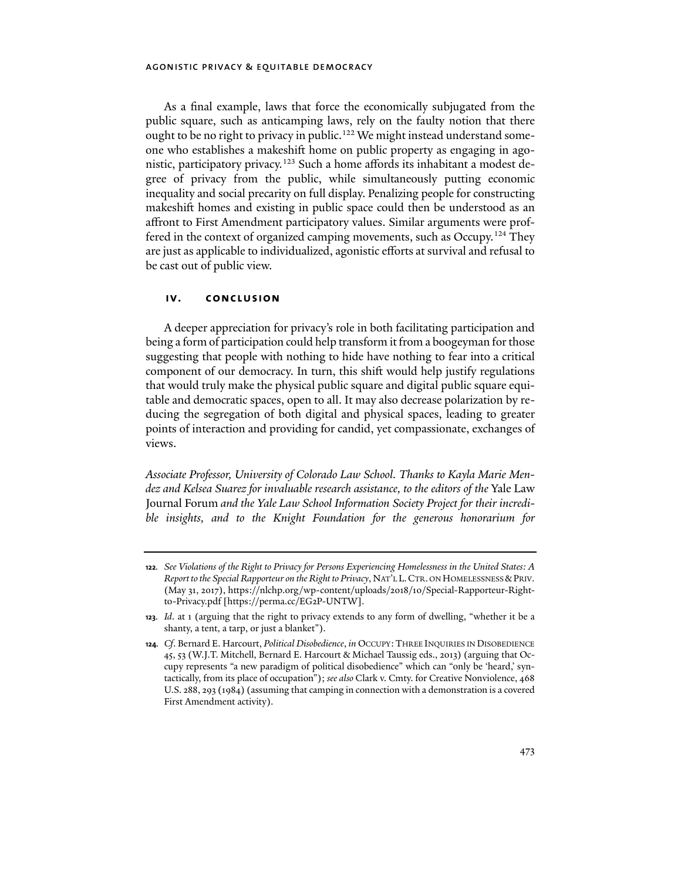As a final example, laws that force the economically subjugated from the public square, such as anticamping laws, rely on the faulty notion that there ought to be no right to privacy in public.<sup>[122](#page-19-0)</sup> We might instead understand someone who establishes a makeshift home on public property as engaging in ago-nistic, participatory privacy.<sup>[123](#page-19-1)</sup> Such a home affords its inhabitant a modest degree of privacy from the public, while simultaneously putting economic inequality and social precarity on full display. Penalizing people for constructing makeshift homes and existing in public space could then be understood as an affront to First Amendment participatory values. Similar arguments were prof-fered in the context of organized camping movements, such as Occupy.<sup>[124](#page-19-2)</sup> They are just as applicable to individualized, agonistic efforts at survival and refusal to be cast out of public view.

#### **iv. conclusion**

A deeper appreciation for privacy's role in both facilitating participation and being a form of participation could help transform it from a boogeyman for those suggesting that people with nothing to hide have nothing to fear into a critical component of our democracy. In turn, this shi� would help justify regulations that would truly make the physical public square and digital public square equitable and democratic spaces, open to all. It may also decrease polarization by reducing the segregation of both digital and physical spaces, leading to greater points of interaction and providing for candid, yet compassionate, exchanges of views.

*Associate Professor, University of Colorado Law School. Thanks to Kayla Marie Mendez and Kelsea Suarez for invaluable research assistance, to the editors of the* Yale Law Journal Forum *and the Yale Law School Information Society Project for their incredible insights, and to the Knight Foundation for the generous honorarium for* 

<span id="page-19-0"></span>**<sup>122</sup>***. See Violations of the Right to Privacy for Persons Experiencing Homelessness in the United States: A Report to the Special Rapporteur on the Right to Privacy*, NAT'L L.CTR. ON HOMELESSNESS &PRIV. (May 31, 2017), https://nlchp.org/wp-content/uploads/2018/10/Special-Rapporteur-Rightto-Privacy.pdf [https://perma.cc/EG2P-UNTW].

<span id="page-19-1"></span>**<sup>123</sup>***. Id*. at 1 (arguing that the right to privacy extends to any form of dwelling, "whether it be a shanty, a tent, a tarp, or just a blanket").

<span id="page-19-2"></span>**<sup>124</sup>***. Cf*. Bernard E. Harcourt, *Political Disobedience*, *in* OCCUPY:THREE INQUIRIES IN DISOBEDIENCE 45, 53 (W.J.T. Mitchell, Bernard E. Harcourt & Michael Taussig eds., 2013) (arguing that Occupy represents "a new paradigm of political disobedience" which can "only be 'heard,' syntactically, from its place of occupation"); *see also* Clark v. Cmty. for Creative Nonviolence, 468 U.S. 288, 293 (1984) (assuming that camping in connection with a demonstration is a covered First Amendment activity).